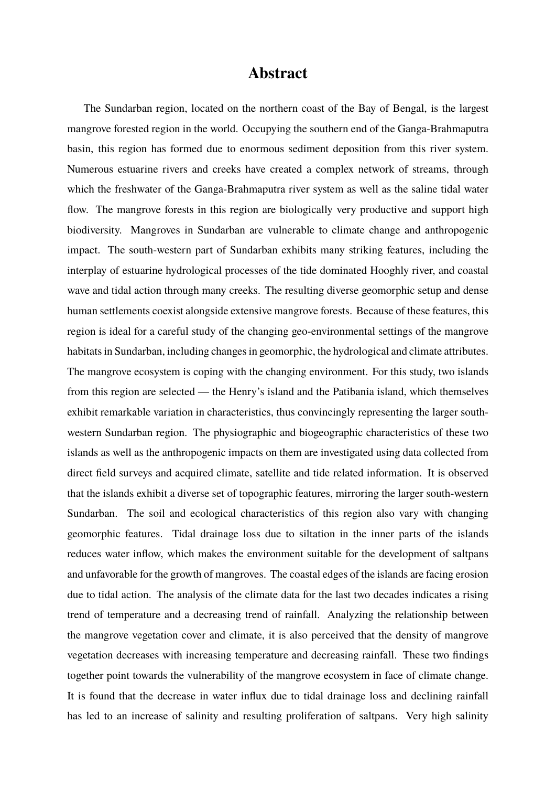## **Abstract**

The Sundarban region, located on the northern coast of the Bay of Bengal, is the largest mangrove forested region in the world. Occupying the southern end of the Ganga-Brahmaputra basin, this region has formed due to enormous sediment deposition from this river system. Numerous estuarine rivers and creeks have created a complex network of streams, through which the freshwater of the Ganga-Brahmaputra river system as well as the saline tidal water flow. The mangrove forests in this region are biologically very productive and support high biodiversity. Mangroves in Sundarban are vulnerable to climate change and anthropogenic impact. The south-western part of Sundarban exhibits many striking features, including the interplay of estuarine hydrological processes of the tide dominated Hooghly river, and coastal wave and tidal action through many creeks. The resulting diverse geomorphic setup and dense human settlements coexist alongside extensive mangrove forests. Because of these features, this region is ideal for a careful study of the changing geo-environmental settings of the mangrove habitats in Sundarban, including changes in geomorphic, the hydrological and climate attributes. The mangrove ecosystem is coping with the changing environment. For this study, two islands from this region are selected — the Henry's island and the Patibania island, which themselves exhibit remarkable variation in characteristics, thus convincingly representing the larger southwestern Sundarban region. The physiographic and biogeographic characteristics of these two islands as well as the anthropogenic impacts on them are investigated using data collected from direct field surveys and acquired climate, satellite and tide related information. It is observed that the islands exhibit a diverse set of topographic features, mirroring the larger south-western Sundarban. The soil and ecological characteristics of this region also vary with changing geomorphic features. Tidal drainage loss due to siltation in the inner parts of the islands reduces water inflow, which makes the environment suitable for the development of saltpans and unfavorable for the growth of mangroves. The coastal edges of the islands are facing erosion due to tidal action. The analysis of the climate data for the last two decades indicates a rising trend of temperature and a decreasing trend of rainfall. Analyzing the relationship between the mangrove vegetation cover and climate, it is also perceived that the density of mangrove vegetation decreases with increasing temperature and decreasing rainfall. These two findings together point towards the vulnerability of the mangrove ecosystem in face of climate change. It is found that the decrease in water influx due to tidal drainage loss and declining rainfall has led to an increase of salinity and resulting proliferation of saltpans. Very high salinity